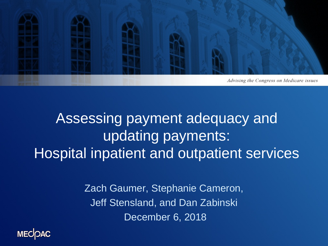

### Assessing payment adequacy and updating payments: Hospital inpatient and outpatient services

Zach Gaumer, Stephanie Cameron, Jeff Stensland, and Dan Zabinski December 6, 2018

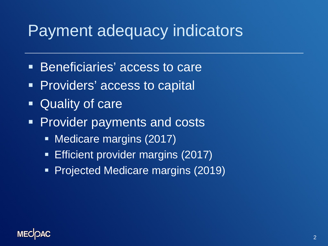## Payment adequacy indicators

- **Beneficiaries' access to care**
- **Providers' access to capital**
- **Cuality of care**
- **Provider payments and costs** 
	- **Medicare margins (2017)**
	- **Efficient provider margins (2017)**
	- **Projected Medicare margins (2019)**

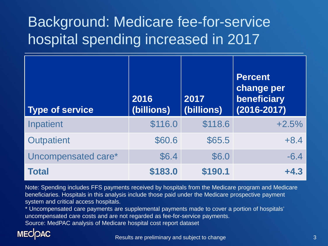## Background: Medicare fee-for-service hospital spending increased in 2017

| <b>Type of service</b> | 2016<br>(billions) | 2017<br>(billions) | <b>Percent</b><br>change per<br>beneficiary<br>$(2016 - 2017)$ |
|------------------------|--------------------|--------------------|----------------------------------------------------------------|
| Inpatient              | \$116.0            | \$118.6            | $+2.5%$                                                        |
| <b>Outpatient</b>      | \$60.6             | \$65.5             | $+8.4$                                                         |
| Uncompensated care*    | \$6.4              | \$6.0              | $-6.4$                                                         |
| <b>Total</b>           | \$183.0            | \$190.1            | $+4.3$                                                         |

Note: Spending includes FFS payments received by hospitals from the Medicare program and Medicare beneficiaries. Hospitals in this analysis include those paid under the Medicare prospective payment system and critical access hospitals.

\* Uncompensated care payments are supplemental payments made to cover a portion of hospitals' uncompensated care costs and are not regarded as fee-for-service payments.

Source: MedPAC analysis of Medicare hospital cost report dataset

#### **MECOAC**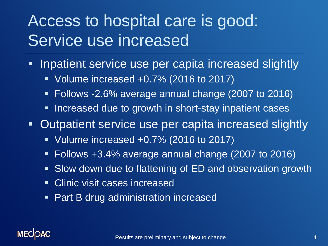# Access to hospital care is good: Service use increased

- **If inpatient service use per capita increased slightly** 
	- Volume increased +0.7% (2016 to 2017)
	- Follows -2.6% average annual change (2007 to 2016)
	- **Increased due to growth in short-stay inpatient cases**

■ Outpatient service use per capita increased slightly

- Volume increased +0.7% (2016 to 2017)
- Follows +3.4% average annual change (2007 to 2016)
- Slow down due to flattening of ED and observation growth
- **Clinic visit cases increased**
- **Part B drug administration increased**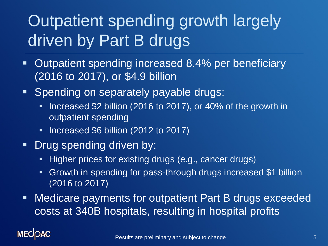# Outpatient spending growth largely driven by Part B drugs

- **-** Outpatient spending increased 8.4% per beneficiary (2016 to 2017), or \$4.9 billion
- **Spending on separately payable drugs:** 
	- Increased \$2 billion (2016 to 2017), or 40% of the growth in outpatient spending
	- **Increased \$6 billion (2012 to 2017)**
- **-** Drug spending driven by:
	- Higher prices for existing drugs (e.g., cancer drugs)
	- Growth in spending for pass-through drugs increased \$1 billion (2016 to 2017)
- Medicare payments for outpatient Part B drugs exceeded costs at 340B hospitals, resulting in hospital profits

### **MECK**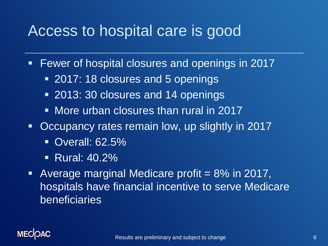### Access to hospital care is good

- **Fewer of hospital closures and openings in 2017** 
	- **2017: 18 closures and 5 openings**
	- **2013: 30 closures and 14 openings**
	- **Nore urban closures than rural in 2017**
- **Occupancy rates remain low, up slightly in 2017** 
	- **Overall: 62.5%**
	- Rural: 40.2%
- Average marginal Medicare profit  $= 8\%$  in 2017, hospitals have financial incentive to serve Medicare beneficiaries

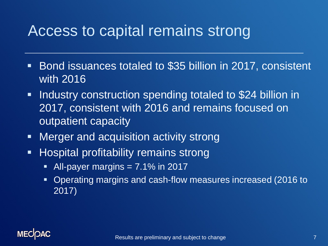### Access to capital remains strong

- Bond issuances totaled to \$35 billion in 2017, consistent with 2016
- **Industry construction spending totaled to \$24 billion in** 2017, consistent with 2016 and remains focused on outpatient capacity
- **Merger and acquisition activity strong**
- **Hospital profitability remains strong** 
	- $\blacksquare$  All-payer margins  $= 7.1\%$  in 2017
	- Operating margins and cash-flow measures increased (2016 to 2017)

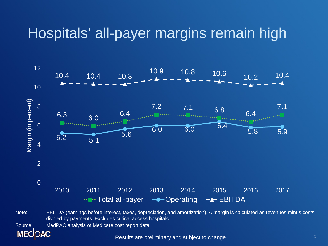### Hospitals' all-payer margins remain high



Note: EBITDA (earnings before interest, taxes, depreciation, and amortization). A margin is calculated as revenues minus costs, divided by payments. Excludes critical access hospitals.

Source: MedPAC analysis of Medicare cost report data.

Results are preliminary and subject to change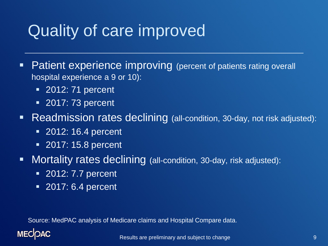# Quality of care improved

**Patient experience improving** (percent of patients rating overall hospital experience a 9 or 10):

- 2012: 71 percent
- **2017: 73 percent**
- **Readmission rates declining** (all-condition, 30-day, not risk adjusted):
	- **2012: 16.4 percent**
	- **2017: 15.8 percent**
- **Mortality rates declining** (all-condition, 30-day, risk adjusted):
	- **2012: 7.7 percent**
	- 2017: 6.4 percent

Source: MedPAC analysis of Medicare claims and Hospital Compare data.

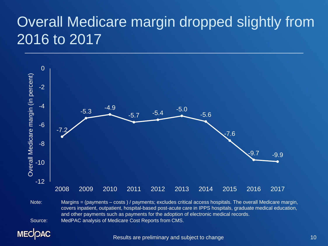## Overall Medicare margin dropped slightly from 2016 to 2017



Note: Margins = (payments – costs ) / payments; excludes critical access hospitals. The overall Medicare margin, covers inpatient, outpatient, hospital-based post-acute care in IPPS hospitals, graduate medical education, and other payments such as payments for the adoption of electronic medical records. Source: MedPAC analysis of Medicare Cost Reports from CMS.

**MECOAC** 

Results are preliminary and subject to change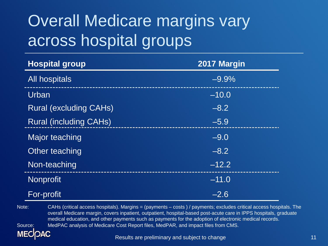# Overall Medicare margins vary across hospital groups

| <b>Hospital group</b>         | 2017 Margin |  |
|-------------------------------|-------------|--|
| All hospitals                 | $-9.9%$     |  |
| Urban                         | $-10.0$     |  |
| <b>Rural (excluding CAHs)</b> | $-8.2$      |  |
| <b>Rural (including CAHs)</b> | $-5.9$      |  |
| Major teaching                | $-9.0$      |  |
| Other teaching                | $-8.2$      |  |
| Non-teaching                  | $-12.2$     |  |
| <b>Nonprofit</b>              | $-11.0$     |  |
| For-profit                    | $-2.6$      |  |

Note: CAHs (critical access hospitals). Margins = (payments – costs ) / payments; excludes critical access hospitals. The overall Medicare margin, covers inpatient, outpatient, hospital-based post-acute care in IPPS hospitals, graduate medical education, and other payments such as payments for the adoption of electronic medical records. Source: MedPAC analysis of Medicare Cost Report files, MedPAR, and impact files from CMS.

Results are preliminary and subject to change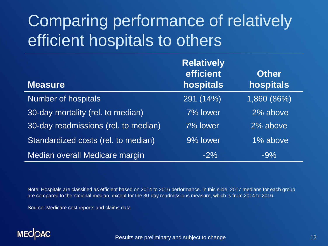# Comparing performance of relatively efficient hospitals to others

| <b>Measure</b>                       | <b>Relatively</b><br>efficient<br>hospitals | <b>Other</b><br>hospitals |
|--------------------------------------|---------------------------------------------|---------------------------|
| <b>Number of hospitals</b>           | 291 (14%)                                   | 1,860 (86%)               |
| 30-day mortality (rel. to median)    | 7% lower                                    | 2% above                  |
| 30-day readmissions (rel. to median) | 7% lower                                    | 2% above                  |
| Standardized costs (rel. to median)  | 9% lower                                    | 1% above                  |
| Median overall Medicare margin       | $-2\%$                                      | $-9%$                     |

Note: Hospitals are classified as efficient based on 2014 to 2016 performance. In this slide, 2017 medians for each group are compared to the national median, except for the 30-day readmissions measure, which is from 2014 to 2016.

Source: Medicare cost reports and claims data

#### **MECOAC**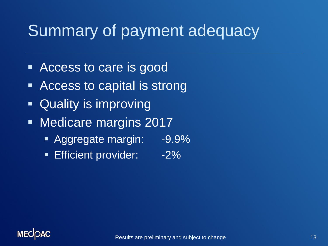# Summary of payment adequacy

- Access to care is good
- Access to capital is strong
- Quality is improving
- **Nedicare margins 2017** 
	- Aggregate margin: -9.9%
	- **Efficient provider:** -2%

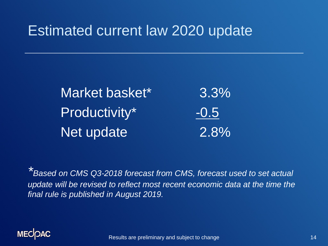### Estimated current law 2020 update

Market basket\* 3.3% Productivity\* -0.5 Net update 2.8%

*\*Based on CMS Q3-2018 forecast from CMS, forecast used to set actual update will be revised to reflect most recent economic data at the time the final rule is published in August 2019.*